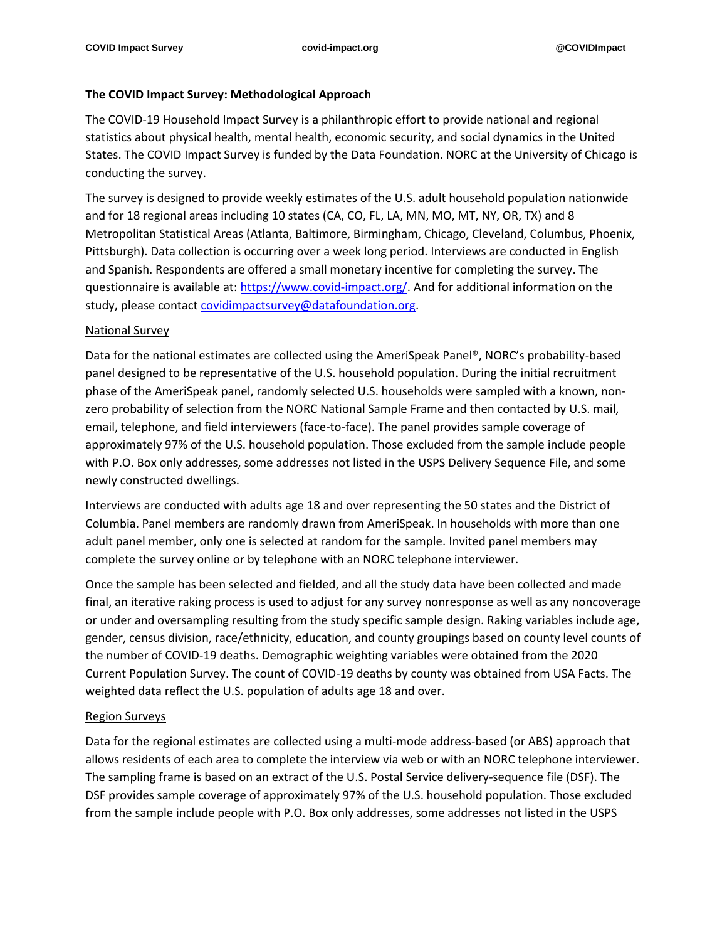### **The COVID Impact Survey: Methodological Approach**

The COVID-19 Household Impact Survey is a philanthropic effort to provide national and regional statistics about physical health, mental health, economic security, and social dynamics in the United States. The COVID Impact Survey is funded by the Data Foundation. NORC at the University of Chicago is conducting the survey.

The survey is designed to provide weekly estimates of the U.S. adult household population nationwide and for 18 regional areas including 10 states (CA, CO, FL, LA, MN, MO, MT, NY, OR, TX) and 8 Metropolitan Statistical Areas (Atlanta, Baltimore, Birmingham, Chicago, Cleveland, Columbus, Phoenix, Pittsburgh). Data collection is occurring over a week long period. Interviews are conducted in English and Spanish. Respondents are offered a small monetary incentive for completing the survey. The questionnaire is available at: [https://www.covid-impact.org/.](https://www.covid-impact.org/) And for additional information on the study, please contact [covidimpactsurvey@datafoundation.org.](mailto:covidimpactsurvey@datafoundation.org)

# National Survey

Data for the national estimates are collected using the AmeriSpeak Panel®, NORC's probability-based panel designed to be representative of the U.S. household population. During the initial recruitment phase of the AmeriSpeak panel, randomly selected U.S. households were sampled with a known, nonzero probability of selection from the NORC National Sample Frame and then contacted by U.S. mail, email, telephone, and field interviewers (face-to-face). The panel provides sample coverage of approximately 97% of the U.S. household population. Those excluded from the sample include people with P.O. Box only addresses, some addresses not listed in the USPS Delivery Sequence File, and some newly constructed dwellings.

Interviews are conducted with adults age 18 and over representing the 50 states and the District of Columbia. Panel members are randomly drawn from AmeriSpeak. In households with more than one adult panel member, only one is selected at random for the sample. Invited panel members may complete the survey online or by telephone with an NORC telephone interviewer.

Once the sample has been selected and fielded, and all the study data have been collected and made final, an iterative raking process is used to adjust for any survey nonresponse as well as any noncoverage or under and oversampling resulting from the study specific sample design. Raking variables include age, gender, census division, race/ethnicity, education, and county groupings based on county level counts of the number of COVID-19 deaths. Demographic weighting variables were obtained from the 2020 Current Population Survey. The count of COVID-19 deaths by county was obtained from USA Facts. The weighted data reflect the U.S. population of adults age 18 and over.

# Region Surveys

Data for the regional estimates are collected using a multi-mode address-based (or ABS) approach that allows residents of each area to complete the interview via web or with an NORC telephone interviewer. The sampling frame is based on an extract of the U.S. Postal Service delivery-sequence file (DSF). The DSF provides sample coverage of approximately 97% of the U.S. household population. Those excluded from the sample include people with P.O. Box only addresses, some addresses not listed in the USPS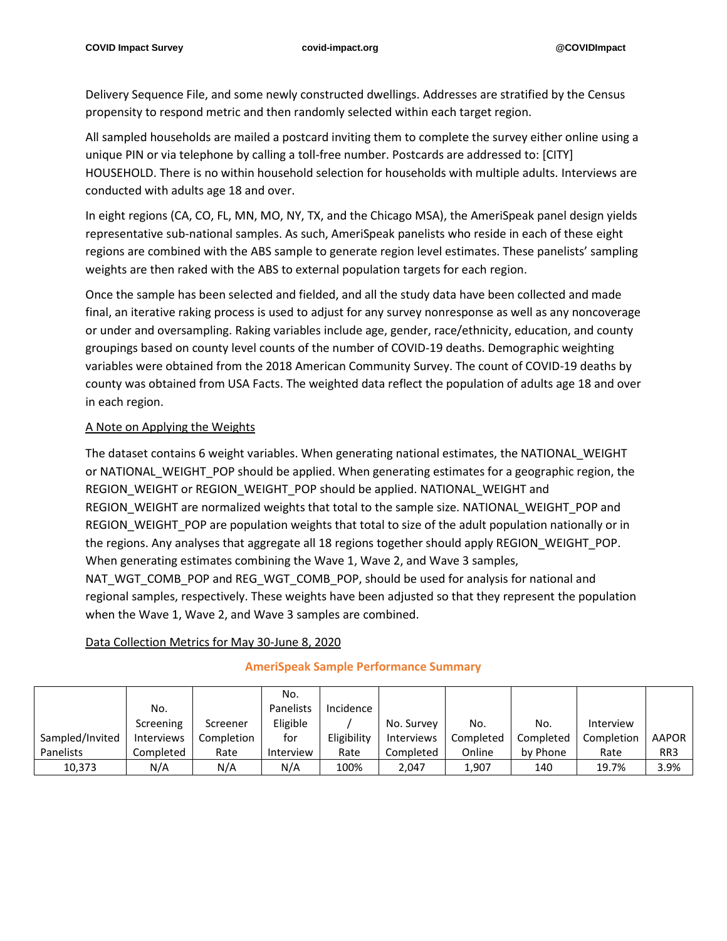Delivery Sequence File, and some newly constructed dwellings. Addresses are stratified by the Census propensity to respond metric and then randomly selected within each target region.

All sampled households are mailed a postcard inviting them to complete the survey either online using a unique PIN or via telephone by calling a toll-free number. Postcards are addressed to: [CITY] HOUSEHOLD. There is no within household selection for households with multiple adults. Interviews are conducted with adults age 18 and over.

In eight regions (CA, CO, FL, MN, MO, NY, TX, and the Chicago MSA), the AmeriSpeak panel design yields representative sub-national samples. As such, AmeriSpeak panelists who reside in each of these eight regions are combined with the ABS sample to generate region level estimates. These panelists' sampling weights are then raked with the ABS to external population targets for each region.

Once the sample has been selected and fielded, and all the study data have been collected and made final, an iterative raking process is used to adjust for any survey nonresponse as well as any noncoverage or under and oversampling. Raking variables include age, gender, race/ethnicity, education, and county groupings based on county level counts of the number of COVID-19 deaths. Demographic weighting variables were obtained from the 2018 American Community Survey. The count of COVID-19 deaths by county was obtained from USA Facts. The weighted data reflect the population of adults age 18 and over in each region.

# A Note on Applying the Weights

The dataset contains 6 weight variables. When generating national estimates, the NATIONAL\_WEIGHT or NATIONAL\_WEIGHT\_POP should be applied. When generating estimates for a geographic region, the REGION\_WEIGHT or REGION\_WEIGHT\_POP should be applied. NATIONAL\_WEIGHT and REGION\_WEIGHT are normalized weights that total to the sample size. NATIONAL\_WEIGHT\_POP and REGION\_WEIGHT\_POP are population weights that total to size of the adult population nationally or in the regions. Any analyses that aggregate all 18 regions together should apply REGION\_WEIGHT\_POP. When generating estimates combining the Wave 1, Wave 2, and Wave 3 samples, NAT\_WGT\_COMB\_POP and REG\_WGT\_COMB\_POP, should be used for analysis for national and regional samples, respectively. These weights have been adjusted so that they represent the population when the Wave 1, Wave 2, and Wave 3 samples are combined.

# Data Collection Metrics for May 30-June 8, 2020

|                 |                   |            | No.              |             |                   |           |           |            |                 |
|-----------------|-------------------|------------|------------------|-------------|-------------------|-----------|-----------|------------|-----------------|
|                 | No.               |            | <b>Panelists</b> | Incidence   |                   |           |           |            |                 |
|                 | Screening         | Screener   | Eligible         |             | No. Survey        | No.       | No.       | Interview  |                 |
| Sampled/Invited | <b>Interviews</b> | Completion | tor              | Eligibility | <b>Interviews</b> | Completed | Completed | Completion | <b>AAPOR</b>    |
| Panelists       | Completed         | Rate       | Interview        | Rate        | Completed         | Online    | by Phone  | Rate       | RR <sub>3</sub> |
| 10,373          | N/A               | N/A        | N/A              | 100%        | 2,047             | 1,907     | 140       | 19.7%      | 3.9%            |

### **AmeriSpeak Sample Performance Summary**